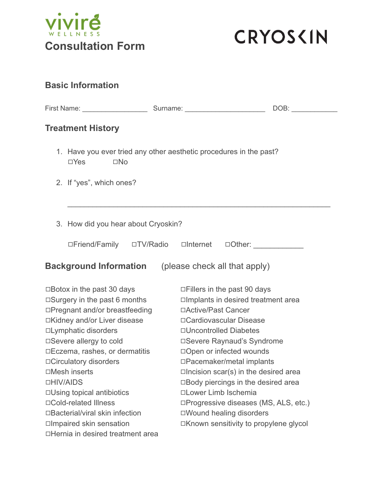



| <b>Basic Information</b>                                                                         |                                                                                                                                                                                                                                |
|--------------------------------------------------------------------------------------------------|--------------------------------------------------------------------------------------------------------------------------------------------------------------------------------------------------------------------------------|
|                                                                                                  | DOB: the contract of the contract of the contract of the contract of the contract of the contract of the contract of the contract of the contract of the contract of the contract of the contract of the contract of the contr |
| <b>Treatment History</b>                                                                         |                                                                                                                                                                                                                                |
| 1. Have you ever tried any other aesthetic procedures in the past?<br>$\square$ No<br>$\Box$ Yes |                                                                                                                                                                                                                                |
| 2. If "yes", which ones?                                                                         |                                                                                                                                                                                                                                |
| 3. How did you hear about Cryoskin?                                                              |                                                                                                                                                                                                                                |
| □Friend/Family □TV/Radio □Internet                                                               | $\Box$ Other:                                                                                                                                                                                                                  |
| <b>Background Information</b> (please check all that apply)                                      |                                                                                                                                                                                                                                |
| $\Box$ Botox in the past 30 days                                                                 | $\Box$ Fillers in the past 90 days                                                                                                                                                                                             |
| $\Box$ Surgery in the past 6 months                                                              | □Implants in desired treatment area                                                                                                                                                                                            |
| □Pregnant and/or breastfeeding                                                                   | □Active/Past Cancer                                                                                                                                                                                                            |
| □Kidney and/or Liver disease                                                                     | □ Cardiovascular Disease                                                                                                                                                                                                       |
| □Lymphatic disorders                                                                             | □Uncontrolled Diabetes                                                                                                                                                                                                         |
| □Severe allergy to cold                                                                          | □Severe Raynaud's Syndrome                                                                                                                                                                                                     |
| □Eczema, rashes, or dermatitis                                                                   | □Open or infected wounds                                                                                                                                                                                                       |
| □Circulatory disorders                                                                           | □Pacemaker/metal implants                                                                                                                                                                                                      |
| □Mesh inserts                                                                                    | $\Box$ Incision scar(s) in the desired area                                                                                                                                                                                    |
| □HIV/AIDS                                                                                        | □Body piercings in the desired area                                                                                                                                                                                            |
| $\Box$ Using topical antibiotics                                                                 | □Lower Limb Ischemia                                                                                                                                                                                                           |
| □Cold-related Illness                                                                            | □Progressive diseases (MS, ALS, etc.)                                                                                                                                                                                          |
| □Bacterial/viral skin infection                                                                  | □Wound healing disorders                                                                                                                                                                                                       |
| □Impaired skin sensation<br>□Hernia in desired treatment area                                    | □Known sensitivity to propylene glycol                                                                                                                                                                                         |
|                                                                                                  |                                                                                                                                                                                                                                |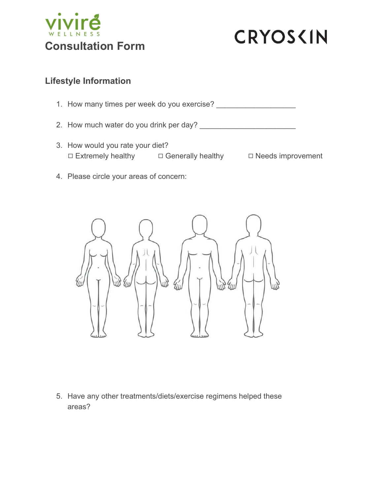



## **Lifestyle Information**

1. How many times per week do you exercise? \_\_\_\_\_\_\_\_\_\_\_\_\_\_\_\_\_\_\_

2. How much water do you drink per day? \_\_\_\_\_\_\_\_\_\_\_\_\_\_\_\_\_\_\_\_\_\_\_

- 3. How would you rate your diet? **□ Extremely healthy □ Generally healthy □ Needs improvement**
- 4. Please circle your areas of concern:



5. Have any other treatments/diets/exercise regimens helped these areas?